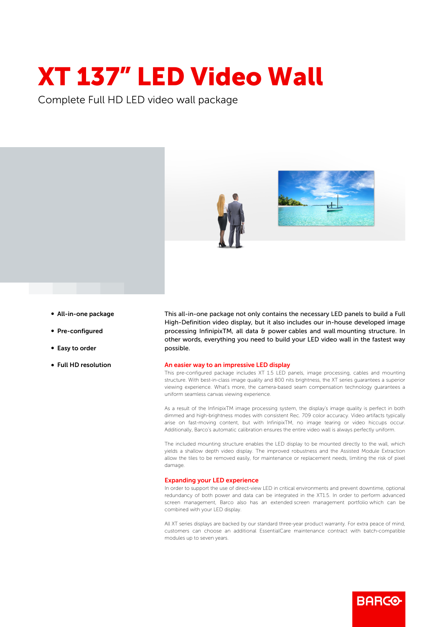## XT 137" LED Video Wall

Complete Full HD LED video wall package





- All-in-one package
- Pre-configured
- Easy to order
- Full HD resolution

This all-in-one package not only contains the necessary LED panels to build a Full High-Definition video display, but it also includes our in-house developed image processing InfinipixTM, all data & power cables and wall mounting structure. In other words, everything you need to build your LED video wall in the fastest way possible.

## An easier way to an impressive LED display

This pre-configured package includes XT 1.5 LED panels, image processing, cables and mounting structure. With best-in-class image quality and 800 nits brightness, the XT series guarantees a superior viewing experience. What's more, the camera-based seam compensation technology guarantees a uniform seamless canvas viewing experience.

As a result of the InfinipixTM image processing system, the display's image quality is perfect in both dimmed and high-brightness modes with consistent Rec. 709 color accuracy. Video artifacts typically arise on fast-moving content, but with InfinipixTM, no image tearing or video hiccups occur. Additionally, Barco's automatic calibration ensures the entire video wall is always perfectly uniform.

The included mounting structure enables the LED display to be mounted directly to the wall, which yields a shallow depth video display. The improved robustness and the Assisted Module Extraction allow the tiles to be removed easily, for maintenance or replacement needs, limiting the risk of pixel damage.

## Expanding your LED experience

In order to support the use of direct-view LED in critical environments and prevent downtime, optional redundancy of both power and data can be integrated in the XT1.5. In order to perform advanced screen management, Barco also has an extended screen management portfolio which can be combined with your LED display.

All XT series displays are backed by our standard three-year product warranty. For extra peace of mind, customers can choose an additional EssentialCare maintenance contract with batch-compatible modules up to seven years.